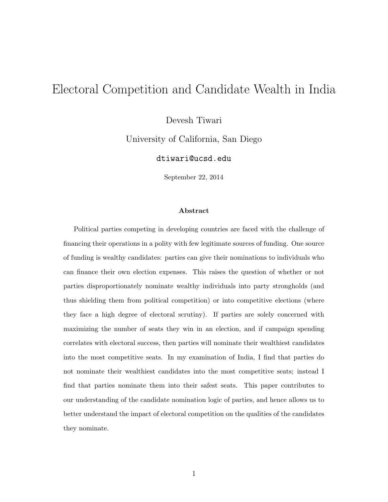# Electoral Competition and Candidate Wealth in India

Devesh Tiwari

University of California, San Diego

dtiwari@ucsd.edu

September 22, 2014

#### Abstract

Political parties competing in developing countries are faced with the challenge of financing their operations in a polity with few legitimate sources of funding. One source of funding is wealthy candidates: parties can give their nominations to individuals who can finance their own election expenses. This raises the question of whether or not parties disproportionately nominate wealthy individuals into party strongholds (and thus shielding them from political competition) or into competitive elections (where they face a high degree of electoral scrutiny). If parties are solely concerned with maximizing the number of seats they win in an election, and if campaign spending correlates with electoral success, then parties will nominate their wealthiest candidates into the most competitive seats. In my examination of India, I find that parties do not nominate their wealthiest candidates into the most competitive seats; instead I find that parties nominate them into their safest seats. This paper contributes to our understanding of the candidate nomination logic of parties, and hence allows us to better understand the impact of electoral competition on the qualities of the candidates they nominate.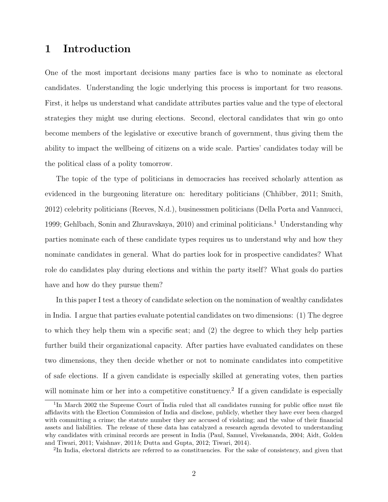### 1 Introduction

One of the most important decisions many parties face is who to nominate as electoral candidates. Understanding the logic underlying this process is important for two reasons. First, it helps us understand what candidate attributes parties value and the type of electoral strategies they might use during elections. Second, electoral candidates that win go onto become members of the legislative or executive branch of government, thus giving them the ability to impact the wellbeing of citizens on a wide scale. Parties' candidates today will be the political class of a polity tomorrow.

The topic of the type of politicians in democracies has received scholarly attention as evidenced in the burgeoning literature on: hereditary politicians (Chhibber, 2011; Smith, 2012) celebrity politicians (Reeves, N.d.), businessmen politicians (Della Porta and Vannucci, 1999; Gehlbach, Sonin and Zhuravskaya, 2010) and criminal politicians.<sup>1</sup> Understanding why parties nominate each of these candidate types requires us to understand why and how they nominate candidates in general. What do parties look for in prospective candidates? What role do candidates play during elections and within the party itself? What goals do parties have and how do they pursue them?

In this paper I test a theory of candidate selection on the nomination of wealthy candidates in India. I argue that parties evaluate potential candidates on two dimensions: (1) The degree to which they help them win a specific seat; and (2) the degree to which they help parties further build their organizational capacity. After parties have evaluated candidates on these two dimensions, they then decide whether or not to nominate candidates into competitive of safe elections. If a given candidate is especially skilled at generating votes, then parties will nominate him or her into a competitive constituency.<sup>2</sup> If a given candidate is especially

<sup>&</sup>lt;sup>1</sup>In March 2002 the Supreme Court of India ruled that all candidates running for public office must file affidavits with the Election Commission of India and disclose, publicly, whether they have ever been charged with committing a crime; the statute number they are accused of violating; and the value of their financial assets and liabilities. The release of these data has catalyzed a research agenda devoted to understanding why candidates with criminal records are present in India (Paul, Samuel, Vivekananda, 2004; Aidt, Golden and Tiwari, 2011; Vaishnav, 2011b; Dutta and Gupta, 2012; Tiwari, 2014).

<sup>&</sup>lt;sup>2</sup>In India, electoral districts are referred to as constituencies. For the sake of consistency, and given that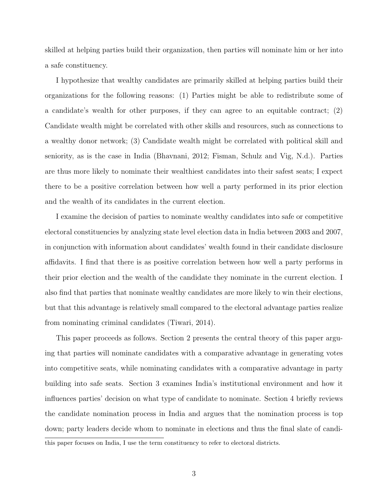skilled at helping parties build their organization, then parties will nominate him or her into a safe constituency.

I hypothesize that wealthy candidates are primarily skilled at helping parties build their organizations for the following reasons: (1) Parties might be able to redistribute some of a candidate's wealth for other purposes, if they can agree to an equitable contract; (2) Candidate wealth might be correlated with other skills and resources, such as connections to a wealthy donor network; (3) Candidate wealth might be correlated with political skill and seniority, as is the case in India (Bhavnani, 2012; Fisman, Schulz and Vig, N.d.). Parties are thus more likely to nominate their wealthiest candidates into their safest seats; I expect there to be a positive correlation between how well a party performed in its prior election and the wealth of its candidates in the current election.

I examine the decision of parties to nominate wealthy candidates into safe or competitive electoral constituencies by analyzing state level election data in India between 2003 and 2007, in conjunction with information about candidates' wealth found in their candidate disclosure affidavits. I find that there is as positive correlation between how well a party performs in their prior election and the wealth of the candidate they nominate in the current election. I also find that parties that nominate wealthy candidates are more likely to win their elections, but that this advantage is relatively small compared to the electoral advantage parties realize from nominating criminal candidates (Tiwari, 2014).

This paper proceeds as follows. Section 2 presents the central theory of this paper arguing that parties will nominate candidates with a comparative advantage in generating votes into competitive seats, while nominating candidates with a comparative advantage in party building into safe seats. Section 3 examines India's institutional environment and how it influences parties' decision on what type of candidate to nominate. Section 4 briefly reviews the candidate nomination process in India and argues that the nomination process is top down; party leaders decide whom to nominate in elections and thus the final slate of candithis paper focuses on India, I use the term constituency to refer to electoral districts.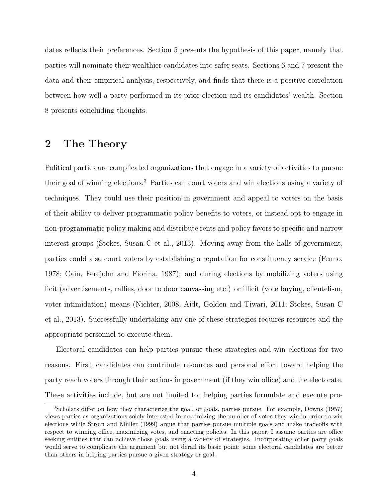dates reflects their preferences. Section 5 presents the hypothesis of this paper, namely that parties will nominate their wealthier candidates into safer seats. Sections 6 and 7 present the data and their empirical analysis, respectively, and finds that there is a positive correlation between how well a party performed in its prior election and its candidates' wealth. Section 8 presents concluding thoughts.

# 2 The Theory

Political parties are complicated organizations that engage in a variety of activities to pursue their goal of winning elections.<sup>3</sup> Parties can court voters and win elections using a variety of techniques. They could use their position in government and appeal to voters on the basis of their ability to deliver programmatic policy benefits to voters, or instead opt to engage in non-programmatic policy making and distribute rents and policy favors to specific and narrow interest groups (Stokes, Susan C et al., 2013). Moving away from the halls of government, parties could also court voters by establishing a reputation for constituency service (Fenno, 1978; Cain, Ferejohn and Fiorina, 1987); and during elections by mobilizing voters using licit (advertisements, rallies, door to door canvassing etc.) or illicit (vote buying, clientelism, voter intimidation) means (Nichter, 2008; Aidt, Golden and Tiwari, 2011; Stokes, Susan C et al., 2013). Successfully undertaking any one of these strategies requires resources and the appropriate personnel to execute them.

Electoral candidates can help parties pursue these strategies and win elections for two reasons. First, candidates can contribute resources and personal effort toward helping the party reach voters through their actions in government (if they win office) and the electorate. These activities include, but are not limited to: helping parties formulate and execute pro-

<sup>3</sup>Scholars differ on how they characterize the goal, or goals, parties pursue. For example, Downs (1957) views parties as organizations solely interested in maximizing the number of votes they win in order to win elections while Strøm and Müller (1999) argue that parties pursue multiple goals and make tradeoffs with respect to winning office, maximizing votes, and enacting policies. In this paper, I assume parties are office seeking entities that can achieve those goals using a variety of strategies. Incorporating other party goals would serve to complicate the argument but not derail its basic point: some electoral candidates are better than others in helping parties pursue a given strategy or goal.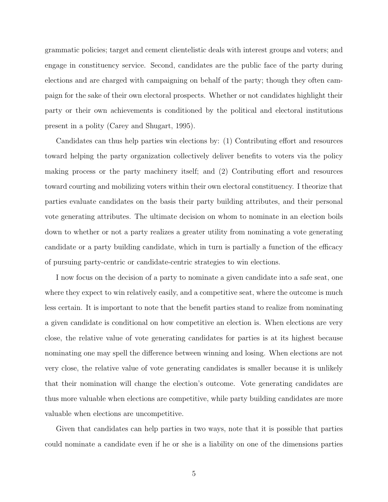grammatic policies; target and cement clientelistic deals with interest groups and voters; and engage in constituency service. Second, candidates are the public face of the party during elections and are charged with campaigning on behalf of the party; though they often campaign for the sake of their own electoral prospects. Whether or not candidates highlight their party or their own achievements is conditioned by the political and electoral institutions present in a polity (Carey and Shugart, 1995).

Candidates can thus help parties win elections by: (1) Contributing effort and resources toward helping the party organization collectively deliver benefits to voters via the policy making process or the party machinery itself; and (2) Contributing effort and resources toward courting and mobilizing voters within their own electoral constituency. I theorize that parties evaluate candidates on the basis their party building attributes, and their personal vote generating attributes. The ultimate decision on whom to nominate in an election boils down to whether or not a party realizes a greater utility from nominating a vote generating candidate or a party building candidate, which in turn is partially a function of the efficacy of pursuing party-centric or candidate-centric strategies to win elections.

I now focus on the decision of a party to nominate a given candidate into a safe seat, one where they expect to win relatively easily, and a competitive seat, where the outcome is much less certain. It is important to note that the benefit parties stand to realize from nominating a given candidate is conditional on how competitive an election is. When elections are very close, the relative value of vote generating candidates for parties is at its highest because nominating one may spell the difference between winning and losing. When elections are not very close, the relative value of vote generating candidates is smaller because it is unlikely that their nomination will change the election's outcome. Vote generating candidates are thus more valuable when elections are competitive, while party building candidates are more valuable when elections are uncompetitive.

Given that candidates can help parties in two ways, note that it is possible that parties could nominate a candidate even if he or she is a liability on one of the dimensions parties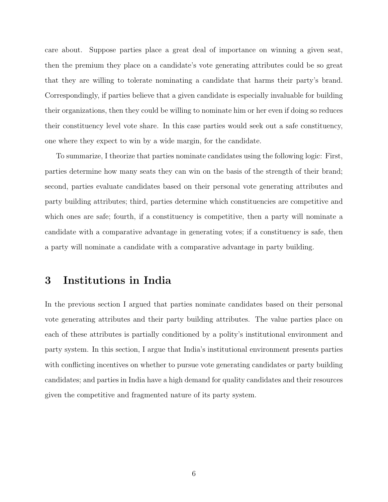care about. Suppose parties place a great deal of importance on winning a given seat, then the premium they place on a candidate's vote generating attributes could be so great that they are willing to tolerate nominating a candidate that harms their party's brand. Correspondingly, if parties believe that a given candidate is especially invaluable for building their organizations, then they could be willing to nominate him or her even if doing so reduces their constituency level vote share. In this case parties would seek out a safe constituency, one where they expect to win by a wide margin, for the candidate.

To summarize, I theorize that parties nominate candidates using the following logic: First, parties determine how many seats they can win on the basis of the strength of their brand; second, parties evaluate candidates based on their personal vote generating attributes and party building attributes; third, parties determine which constituencies are competitive and which ones are safe; fourth, if a constituency is competitive, then a party will nominate a candidate with a comparative advantage in generating votes; if a constituency is safe, then a party will nominate a candidate with a comparative advantage in party building.

### 3 Institutions in India

In the previous section I argued that parties nominate candidates based on their personal vote generating attributes and their party building attributes. The value parties place on each of these attributes is partially conditioned by a polity's institutional environment and party system. In this section, I argue that India's institutional environment presents parties with conflicting incentives on whether to pursue vote generating candidates or party building candidates; and parties in India have a high demand for quality candidates and their resources given the competitive and fragmented nature of its party system.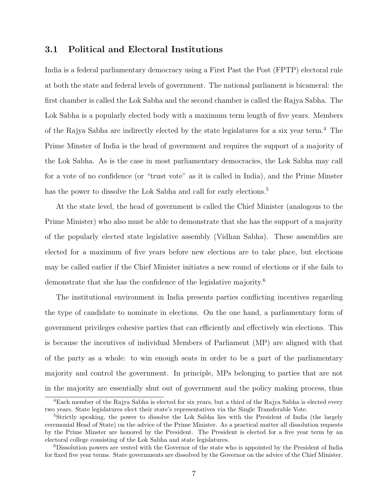#### 3.1 Political and Electoral Institutions

India is a federal parliamentary democracy using a First Past the Post (FPTP) electoral rule at both the state and federal levels of government. The national parliament is bicameral: the first chamber is called the Lok Sabha and the second chamber is called the Rajya Sabha. The Lok Sabha is a popularly elected body with a maximum term length of five years. Members of the Rajya Sabha are indirectly elected by the state legislatures for a six year term.<sup>4</sup> The Prime Minster of India is the head of government and requires the support of a majority of the Lok Sabha. As is the case in most parliamentary democracies, the Lok Sabha may call for a vote of no confidence (or "trust vote" as it is called in India), and the Prime Minster has the power to dissolve the Lok Sabha and call for early elections.<sup>5</sup>

At the state level, the head of government is called the Chief Minister (analogous to the Prime Minister) who also must be able to demonstrate that she has the support of a majority of the popularly elected state legislative assembly (Vidhan Sabha). These assemblies are elected for a maximum of five years before new elections are to take place, but elections may be called earlier if the Chief Minister initiates a new round of elections or if she fails to demonstrate that she has the confidence of the legislative majority.<sup>6</sup>

The institutional environment in India presents parties conflicting incentives regarding the type of candidate to nominate in elections. On the one hand, a parliamentary form of government privileges cohesive parties that can efficiently and effectively win elections. This is because the incentives of individual Members of Parliament (MP) are aligned with that of the party as a whole: to win enough seats in order to be a part of the parliamentary majority and control the government. In principle, MPs belonging to parties that are not in the majority are essentially shut out of government and the policy making process, thus

<sup>4</sup>Each member of the Rajya Sabha is elected for six years, but a third of the Rajya Sabha is elected every two years. State legislatures elect their state's representatives via the Single Transferable Vote.

<sup>&</sup>lt;sup>5</sup>Strictly speaking, the power to dissolve the Lok Sabha lies with the President of India (the largely ceremonial Head of State) on the advice of the Prime Minister. As a practical matter all dissolution requests by the Prime Minster are honored by the President. The President is elected for a five year term by an electoral college consisting of the Lok Sabha and state legislatures.

<sup>6</sup>Dissolution powers are vested with the Governor of the state who is appointed by the President of India for fixed five year terms. State governments are dissolved by the Governor on the advice of the Chief Minister.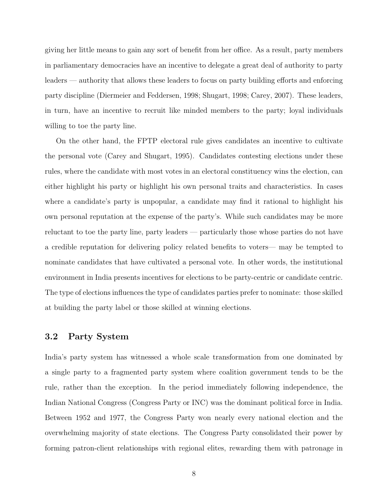giving her little means to gain any sort of benefit from her office. As a result, party members in parliamentary democracies have an incentive to delegate a great deal of authority to party leaders — authority that allows these leaders to focus on party building efforts and enforcing party discipline (Diermeier and Feddersen, 1998; Shugart, 1998; Carey, 2007). These leaders, in turn, have an incentive to recruit like minded members to the party; loyal individuals willing to toe the party line.

On the other hand, the FPTP electoral rule gives candidates an incentive to cultivate the personal vote (Carey and Shugart, 1995). Candidates contesting elections under these rules, where the candidate with most votes in an electoral constituency wins the election, can either highlight his party or highlight his own personal traits and characteristics. In cases where a candidate's party is unpopular, a candidate may find it rational to highlight his own personal reputation at the expense of the party's. While such candidates may be more reluctant to toe the party line, party leaders — particularly those whose parties do not have a credible reputation for delivering policy related benefits to voters— may be tempted to nominate candidates that have cultivated a personal vote. In other words, the institutional environment in India presents incentives for elections to be party-centric or candidate centric. The type of elections influences the type of candidates parties prefer to nominate: those skilled at building the party label or those skilled at winning elections.

#### 3.2 Party System

India's party system has witnessed a whole scale transformation from one dominated by a single party to a fragmented party system where coalition government tends to be the rule, rather than the exception. In the period immediately following independence, the Indian National Congress (Congress Party or INC) was the dominant political force in India. Between 1952 and 1977, the Congress Party won nearly every national election and the overwhelming majority of state elections. The Congress Party consolidated their power by forming patron-client relationships with regional elites, rewarding them with patronage in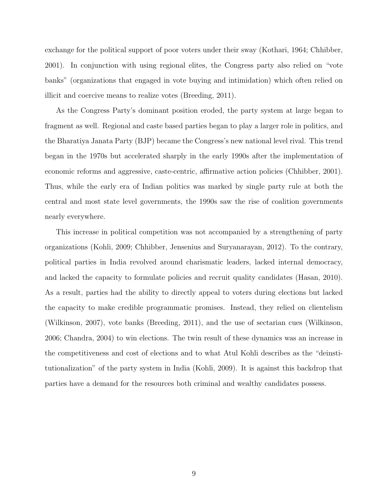exchange for the political support of poor voters under their sway (Kothari, 1964; Chhibber, 2001). In conjunction with using regional elites, the Congress party also relied on "vote banks" (organizations that engaged in vote buying and intimidation) which often relied on illicit and coercive means to realize votes (Breeding, 2011).

As the Congress Party's dominant position eroded, the party system at large began to fragment as well. Regional and caste based parties began to play a larger role in politics, and the Bharatiya Janata Party (BJP) became the Congress's new national level rival. This trend began in the 1970s but accelerated sharply in the early 1990s after the implementation of economic reforms and aggressive, caste-centric, affirmative action policies (Chhibber, 2001). Thus, while the early era of Indian politics was marked by single party rule at both the central and most state level governments, the 1990s saw the rise of coalition governments nearly everywhere.

This increase in political competition was not accompanied by a strengthening of party organizations (Kohli, 2009; Chhibber, Jensenius and Suryanarayan, 2012). To the contrary, political parties in India revolved around charismatic leaders, lacked internal democracy, and lacked the capacity to formulate policies and recruit quality candidates (Hasan, 2010). As a result, parties had the ability to directly appeal to voters during elections but lacked the capacity to make credible programmatic promises. Instead, they relied on clientelism (Wilkinson, 2007), vote banks (Breeding, 2011), and the use of sectarian cues (Wilkinson, 2006; Chandra, 2004) to win elections. The twin result of these dynamics was an increase in the competitiveness and cost of elections and to what Atul Kohli describes as the "deinstitutionalization" of the party system in India (Kohli, 2009). It is against this backdrop that parties have a demand for the resources both criminal and wealthy candidates possess.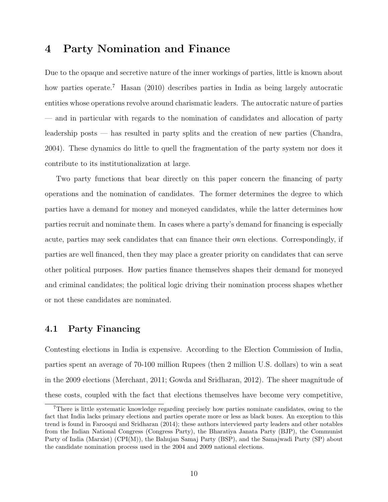### 4 Party Nomination and Finance

Due to the opaque and secretive nature of the inner workings of parties, little is known about how parties operate.<sup>7</sup> Hasan (2010) describes parties in India as being largely autocratic entities whose operations revolve around charismatic leaders. The autocratic nature of parties — and in particular with regards to the nomination of candidates and allocation of party leadership posts — has resulted in party splits and the creation of new parties (Chandra, 2004). These dynamics do little to quell the fragmentation of the party system nor does it contribute to its institutionalization at large.

Two party functions that bear directly on this paper concern the financing of party operations and the nomination of candidates. The former determines the degree to which parties have a demand for money and moneyed candidates, while the latter determines how parties recruit and nominate them. In cases where a party's demand for financing is especially acute, parties may seek candidates that can finance their own elections. Correspondingly, if parties are well financed, then they may place a greater priority on candidates that can serve other political purposes. How parties finance themselves shapes their demand for moneyed and criminal candidates; the political logic driving their nomination process shapes whether or not these candidates are nominated.

#### 4.1 Party Financing

Contesting elections in India is expensive. According to the Election Commission of India, parties spent an average of 70-100 million Rupees (then 2 million U.S. dollars) to win a seat in the 2009 elections (Merchant, 2011; Gowda and Sridharan, 2012). The sheer magnitude of these costs, coupled with the fact that elections themselves have become very competitive,

<sup>7</sup>There is little systematic knowledge regarding precisely how parties nominate candidates, owing to the fact that India lacks primary elections and parties operate more or less as black boxes. An exception to this trend is found in Farooqui and Sridharan (2014); these authors interviewed party leaders and other notables from the Indian National Congress (Congress Party), the Bharatiya Janata Party (BJP), the Communist Party of India (Marxist) (CPI(M)), the Bahujan Samaj Party (BSP), and the Samajwadi Party (SP) about the candidate nomination process used in the 2004 and 2009 national elections.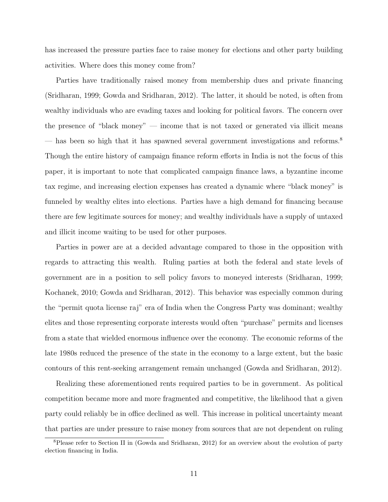has increased the pressure parties face to raise money for elections and other party building activities. Where does this money come from?

Parties have traditionally raised money from membership dues and private financing (Sridharan, 1999; Gowda and Sridharan, 2012). The latter, it should be noted, is often from wealthy individuals who are evading taxes and looking for political favors. The concern over the presence of "black money" — income that is not taxed or generated via illicit means — has been so high that it has spawned several government investigations and reforms.<sup>8</sup> Though the entire history of campaign finance reform efforts in India is not the focus of this paper, it is important to note that complicated campaign finance laws, a byzantine income tax regime, and increasing election expenses has created a dynamic where "black money" is funneled by wealthy elites into elections. Parties have a high demand for financing because there are few legitimate sources for money; and wealthy individuals have a supply of untaxed and illicit income waiting to be used for other purposes.

Parties in power are at a decided advantage compared to those in the opposition with regards to attracting this wealth. Ruling parties at both the federal and state levels of government are in a position to sell policy favors to moneyed interests (Sridharan, 1999; Kochanek, 2010; Gowda and Sridharan, 2012). This behavior was especially common during the "permit quota license raj" era of India when the Congress Party was dominant; wealthy elites and those representing corporate interests would often "purchase" permits and licenses from a state that wielded enormous influence over the economy. The economic reforms of the late 1980s reduced the presence of the state in the economy to a large extent, but the basic contours of this rent-seeking arrangement remain unchanged (Gowda and Sridharan, 2012).

Realizing these aforementioned rents required parties to be in government. As political competition became more and more fragmented and competitive, the likelihood that a given party could reliably be in office declined as well. This increase in political uncertainty meant that parties are under pressure to raise money from sources that are not dependent on ruling

<sup>8</sup>Please refer to Section II in (Gowda and Sridharan, 2012) for an overview about the evolution of party election financing in India.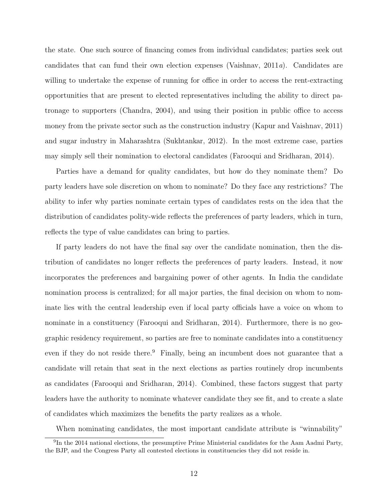the state. One such source of financing comes from individual candidates; parties seek out candidates that can fund their own election expenses (Vaishnav,  $2011a$ ). Candidates are willing to undertake the expense of running for office in order to access the rent-extracting opportunities that are present to elected representatives including the ability to direct patronage to supporters (Chandra, 2004), and using their position in public office to access money from the private sector such as the construction industry (Kapur and Vaishnav, 2011) and sugar industry in Maharashtra (Sukhtankar, 2012). In the most extreme case, parties may simply sell their nomination to electoral candidates (Farooqui and Sridharan, 2014).

Parties have a demand for quality candidates, but how do they nominate them? Do party leaders have sole discretion on whom to nominate? Do they face any restrictions? The ability to infer why parties nominate certain types of candidates rests on the idea that the distribution of candidates polity-wide reflects the preferences of party leaders, which in turn, reflects the type of value candidates can bring to parties.

If party leaders do not have the final say over the candidate nomination, then the distribution of candidates no longer reflects the preferences of party leaders. Instead, it now incorporates the preferences and bargaining power of other agents. In India the candidate nomination process is centralized; for all major parties, the final decision on whom to nominate lies with the central leadership even if local party officials have a voice on whom to nominate in a constituency (Farooqui and Sridharan, 2014). Furthermore, there is no geographic residency requirement, so parties are free to nominate candidates into a constituency even if they do not reside there.<sup>9</sup> Finally, being an incumbent does not guarantee that a candidate will retain that seat in the next elections as parties routinely drop incumbents as candidates (Farooqui and Sridharan, 2014). Combined, these factors suggest that party leaders have the authority to nominate whatever candidate they see fit, and to create a slate of candidates which maximizes the benefits the party realizes as a whole.

When nominating candidates, the most important candidate attribute is "winnability"

<sup>&</sup>lt;sup>9</sup>In the 2014 national elections, the presumptive Prime Ministerial candidates for the Aam Aadmi Party, the BJP, and the Congress Party all contested elections in constituencies they did not reside in.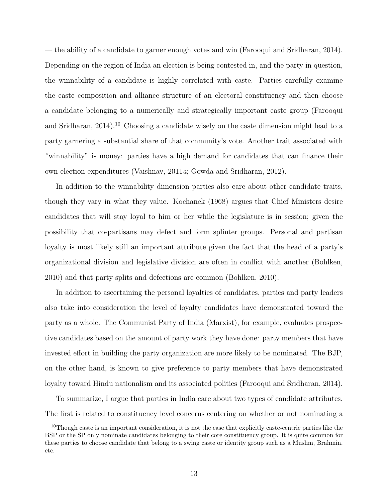— the ability of a candidate to garner enough votes and win (Farooqui and Sridharan, 2014). Depending on the region of India an election is being contested in, and the party in question, the winnability of a candidate is highly correlated with caste. Parties carefully examine the caste composition and alliance structure of an electoral constituency and then choose a candidate belonging to a numerically and strategically important caste group (Farooqui and Sridharan,  $2014$ <sup>10</sup> Choosing a candidate wisely on the caste dimension might lead to a party garnering a substantial share of that community's vote. Another trait associated with "winnability" is money: parties have a high demand for candidates that can finance their own election expenditures (Vaishnav, 2011a; Gowda and Sridharan, 2012).

In addition to the winnability dimension parties also care about other candidate traits, though they vary in what they value. Kochanek (1968) argues that Chief Ministers desire candidates that will stay loyal to him or her while the legislature is in session; given the possibility that co-partisans may defect and form splinter groups. Personal and partisan loyalty is most likely still an important attribute given the fact that the head of a party's organizational division and legislative division are often in conflict with another (Bohlken, 2010) and that party splits and defections are common (Bohlken, 2010).

In addition to ascertaining the personal loyalties of candidates, parties and party leaders also take into consideration the level of loyalty candidates have demonstrated toward the party as a whole. The Communist Party of India (Marxist), for example, evaluates prospective candidates based on the amount of party work they have done: party members that have invested effort in building the party organization are more likely to be nominated. The BJP, on the other hand, is known to give preference to party members that have demonstrated loyalty toward Hindu nationalism and its associated politics (Farooqui and Sridharan, 2014).

To summarize, I argue that parties in India care about two types of candidate attributes. The first is related to constituency level concerns centering on whether or not nominating a

<sup>&</sup>lt;sup>10</sup>Though caste is an important consideration, it is not the case that explicitly caste-centric parties like the BSP or the SP only nominate candidates belonging to their core constituency group. It is quite common for these parties to choose candidate that belong to a swing caste or identity group such as a Muslim, Brahmin, etc.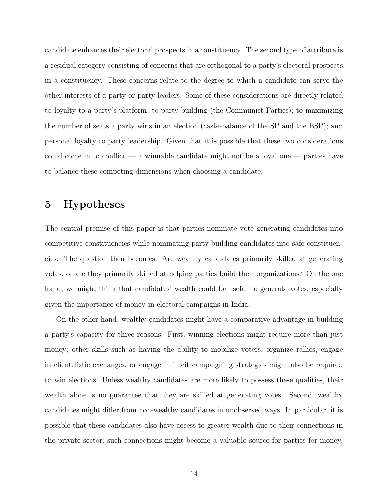candidate enhances their electoral prospects in a constituency. The second type of attribute is a residual category consisting of concerns that are orthogonal to a party's electoral prospects in a constituency. These concerns relate to the degree to which a candidate can serve the other interests of a party or party leaders. Some of these considerations are directly related to loyalty to a party's platform; to party building (the Communist Parties); to maximizing the number of seats a party wins in an election (caste-balance of the SP and the BSP); and personal loyalty to party leadership. Given that it is possible that these two considerations could come in to conflict — a winnable candidate might not be a loyal one — parties have to balance these competing dimensions when choosing a candidate.

## 5 Hypotheses

The central premise of this paper is that parties nominate vote generating candidates into competitive constituencies while nominating party building candidates into safe constituencies. The question then becomes: Are wealthy candidates primarily skilled at generating votes, or are they primarily skilled at helping parties build their organizations? On the one hand, we might think that candidates' wealth could be useful to generate votes, especially given the importance of money in electoral campaigns in India.

On the other hand, wealthy candidates might have a comparative advantage in building a party's capacity for three reasons. First, winning elections might require more than just money; other skills such as having the ability to mobilize voters, organize rallies, engage in clientelistic exchanges, or engage in illicit campaigning strategies might also be required to win elections. Unless wealthy candidates are more likely to possess these qualities, their wealth alone is no guarantee that they are skilled at generating votes. Second, wealthy candidates might differ from non-wealthy candidates in unobserved ways. In particular, it is possible that these candidates also have access to greater wealth due to their connections in the private sector; such connections might become a valuable source for parties for money.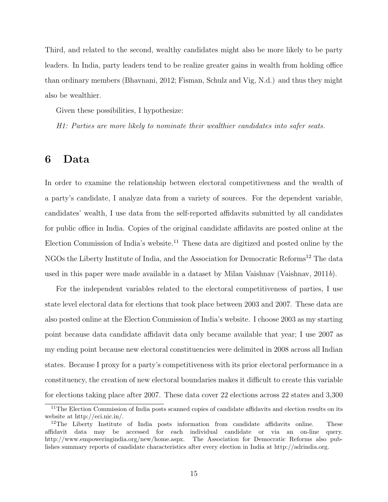Third, and related to the second, wealthy candidates might also be more likely to be party leaders. In India, party leaders tend to be realize greater gains in wealth from holding office than ordinary members (Bhavnani, 2012; Fisman, Schulz and Vig, N.d.) and thus they might also be wealthier.

Given these possibilities, I hypothesize:

H1: Parties are more likely to nominate their wealthier candidates into safer seats.

## 6 Data

In order to examine the relationship between electoral competitiveness and the wealth of a party's candidate, I analyze data from a variety of sources. For the dependent variable, candidates' wealth, I use data from the self-reported affidavits submitted by all candidates for public office in India. Copies of the original candidate affidavits are posted online at the Election Commission of India's website.<sup>11</sup> These data are digitized and posted online by the NGOs the Liberty Institute of India, and the Association for Democratic Reforms<sup>12</sup> The data used in this paper were made available in a dataset by Milan Vaishnav (Vaishnav, 2011b).

For the independent variables related to the electoral competitiveness of parties, I use state level electoral data for elections that took place between 2003 and 2007. These data are also posted online at the Election Commission of India's website. I choose 2003 as my starting point because data candidate affidavit data only became available that year; I use 2007 as my ending point because new electoral constituencies were delimited in 2008 across all Indian states. Because I proxy for a party's competitiveness with its prior electoral performance in a constituency, the creation of new electoral boundaries makes it difficult to create this variable for elections taking place after 2007. These data cover 22 elections across 22 states and 3,300

<sup>&</sup>lt;sup>11</sup>The Election Commission of India posts scanned copies of candidate affidavits and election results on its website at http://eci.nic.in/.

<sup>&</sup>lt;sup>12</sup>The Liberty Institute of India posts information from candidate affidavits online. These affidavit data may be accessed for each individual candidate or via an on-line query. http://www.empoweringindia.org/new/home.aspx. The Association for Democratic Reforms also publishes summary reports of candidate characteristics after every election in India at http://adrindia.org.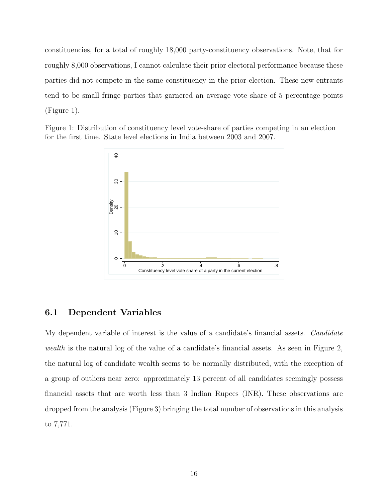constituencies, for a total of roughly 18,000 party-constituency observations. Note, that for roughly 8,000 observations, I cannot calculate their prior electoral performance because these parties did not compete in the same constituency in the prior election. These new entrants tend to be small fringe parties that garnered an average vote share of 5 percentage points (Figure 1).

Figure 1: Distribution of constituency level vote-share of parties competing in an election for the first time. State level elections in India between 2003 and 2007.



#### 6.1 Dependent Variables

My dependent variable of interest is the value of a candidate's financial assets. Candidate wealth is the natural log of the value of a candidate's financial assets. As seen in Figure 2, the natural log of candidate wealth seems to be normally distributed, with the exception of a group of outliers near zero: approximately 13 percent of all candidates seemingly possess financial assets that are worth less than 3 Indian Rupees (INR). These observations are dropped from the analysis (Figure 3) bringing the total number of observations in this analysis to 7,771.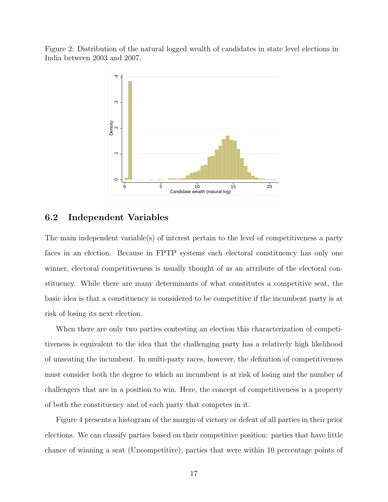Figure 2: Distribution of the natural logged wealth of candidates in state level elections in India between 2003 and 2007.



#### 6.2 Independent Variables

The main independent variable(s) of interest pertain to the level of competitiveness a party faces in an election. Because in FPTP systems each electoral constituency has only one winner, electoral competitiveness is usually thought of as an attribute of the electoral constituency. While there are many determinants of what constitutes a competitive seat, the basic idea is that a constituency is considered to be competitive if the incumbent party is at risk of losing its next election.

When there are only two parties contesting an election this characterization of competitiveness is equivalent to the idea that the challenging party has a relatively high likelihood of unseating the incumbent. In multi-party races, however, the definition of competitiveness must consider both the degree to which an incumbent is at risk of losing and the number of challengers that are in a position to win. Here, the concept of competitiveness is a property of both the constituency and of each party that competes in it.

Figure 4 presents a histogram of the margin of victory or defeat of all parties in their prior elections. We can classify parties based on their competitive position: parties that have little chance of winning a seat (Uncompetitive); parties that were within 10 percentage points of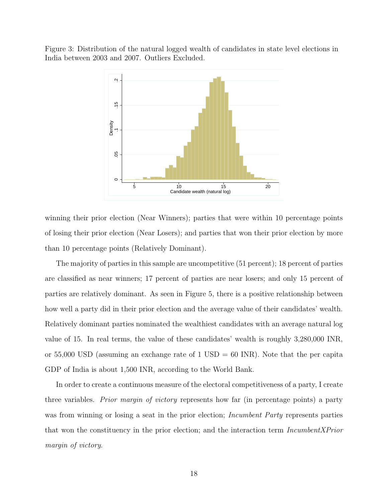Figure 3: Distribution of the natural logged wealth of candidates in state level elections in India between 2003 and 2007. Outliers Excluded.



winning their prior election (Near Winners); parties that were within 10 percentage points of losing their prior election (Near Losers); and parties that won their prior election by more than 10 percentage points (Relatively Dominant).

The majority of parties in this sample are uncompetitive (51 percent); 18 percent of parties are classified as near winners; 17 percent of parties are near losers; and only 15 percent of parties are relatively dominant. As seen in Figure 5, there is a positive relationship between how well a party did in their prior election and the average value of their candidates' wealth. Relatively dominant parties nominated the wealthiest candidates with an average natural log value of 15. In real terms, the value of these candidates' wealth is roughly 3,280,000 INR, or 55,000 USD (assuming an exchange rate of 1 USD  $= 60$  INR). Note that the per capita GDP of India is about 1,500 INR, according to the World Bank.

In order to create a continuous measure of the electoral competitiveness of a party, I create three variables. *Prior margin of victory* represents how far (in percentage points) a party was from winning or losing a seat in the prior election; *Incumbent Party* represents parties that won the constituency in the prior election; and the interaction term IncumbentXPrior margin of victory.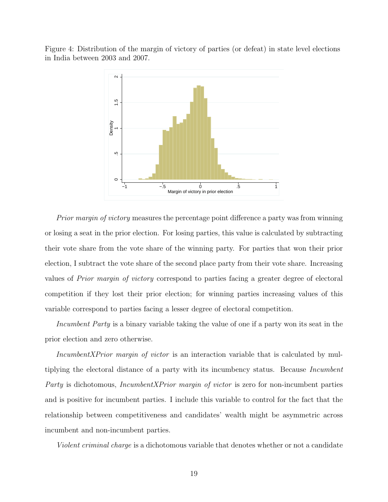Figure 4: Distribution of the margin of victory of parties (or defeat) in state level elections in India between 2003 and 2007.



Prior margin of victory measures the percentage point difference a party was from winning or losing a seat in the prior election. For losing parties, this value is calculated by subtracting their vote share from the vote share of the winning party. For parties that won their prior election, I subtract the vote share of the second place party from their vote share. Increasing values of Prior margin of victory correspond to parties facing a greater degree of electoral competition if they lost their prior election; for winning parties increasing values of this variable correspond to parties facing a lesser degree of electoral competition.

Incumbent Party is a binary variable taking the value of one if a party won its seat in the prior election and zero otherwise.

IncumbentXPrior margin of victor is an interaction variable that is calculated by multiplying the electoral distance of a party with its incumbency status. Because Incumbent Party is dichotomous, IncumbentXPrior margin of victor is zero for non-incumbent parties and is positive for incumbent parties. I include this variable to control for the fact that the relationship between competitiveness and candidates' wealth might be asymmetric across incumbent and non-incumbent parties.

Violent criminal charge is a dichotomous variable that denotes whether or not a candidate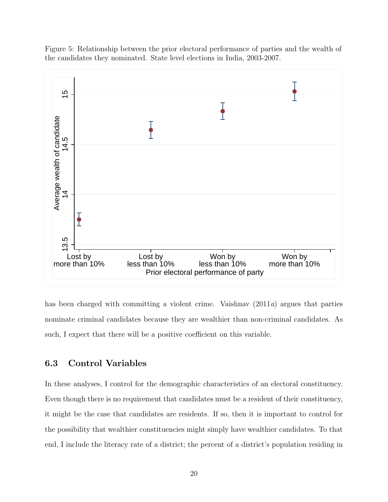Figure 5: Relationship between the prior electoral performance of parties and the wealth of the candidates they nominated. State level elections in India, 2003-2007.



has been charged with committing a violent crime. Vaishnav (2011a) argues that parties nominate criminal candidates because they are wealthier than non-criminal candidates. As such, I expect that there will be a positive coefficient on this variable.

#### 6.3 Control Variables

In these analyses, I control for the demographic characteristics of an electoral constituency. Even though there is no requirement that candidates must be a resident of their constituency, it might be the case that candidates are residents. If so, then it is important to control for the possibility that wealthier constituencies might simply have wealthier candidates. To that end, I include the literacy rate of a district; the percent of a district's population residing in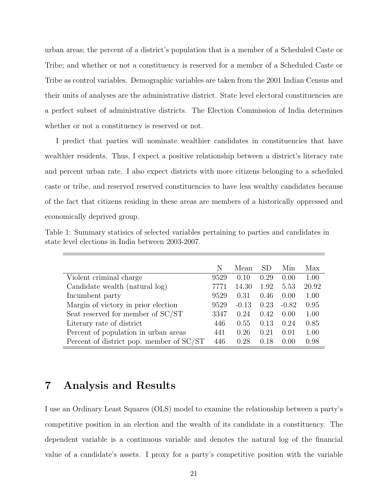urban areas; the percent of a district's population that is a member of a Scheduled Caste or Tribe; and whether or not a constituency is reserved for a member of a Scheduled Caste or Tribe as control variables. Demographic variables are taken from the 2001 Indian Census and their units of analyses are the administrative district. State level electoral constituencies are a perfect subset of administrative districts. The Election Commission of India determines whether or not a constituency is reserved or not.

I predict that parties will nominate wealthier candidates in constituencies that have wealthier residents. Thus, I expect a positive relationship between a district's literacy rate and percent urban rate. I also expect districts with more citizens belonging to a scheduled caste or tribe, and reserved reserved constituencies to have less wealthy candidates because of the fact that citizens residing in these areas are members of a historically oppressed and economically deprived group.

|  |                                                   | Table 1: Summary statisics of selected variables pertaining to parties and candidates in |  |  |
|--|---------------------------------------------------|------------------------------------------------------------------------------------------|--|--|
|  | state level elections in India between 2003-2007. |                                                                                          |  |  |

|                                                       | N    | Mean    | SD   | Min.    | Max   |
|-------------------------------------------------------|------|---------|------|---------|-------|
| Violent criminal charge                               | 9529 | 0.10    | 0.29 | 0.00    | 1.00  |
| Candidate wealth (natural log)                        | 7771 | 14.30   | 1.92 | 5.53    | 20.92 |
| Incumbent party                                       | 9529 | 0.31    | 0.46 | 0.00    | 1.00  |
| Margin of victory in prior election                   | 9529 | $-0.13$ | 0.23 | $-0.82$ | 0.95  |
| Seat reserved for member of $\mathrm{SC}/\mathrm{ST}$ | 3347 | 0.24    | 0.42 | 0.00    | 1.00  |
| Literary rate of district.                            | 446  | 0.55    | 0.13 | 0.24    | 0.85  |
| Percent of population in urban areas                  | 441  | 0.26    | 0.21 | 0.01    | 1.00  |
| Percent of district pop. member of SC/ST              | 446  | 0.28    | 0.18 | 0.00    | 0.98  |

# 7 Analysis and Results

I use an Ordinary Least Squares (OLS) model to examine the relationship between a party's competitive position in an election and the wealth of its candidate in a constituency. The dependent variable is a continuous variable and denotes the natural log of the financial value of a candidate's assets. I proxy for a party's competitive position with the variable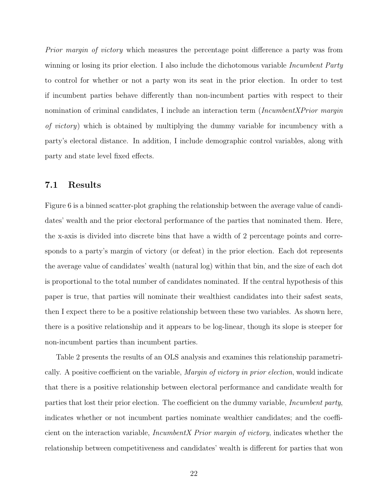Prior margin of victory which measures the percentage point difference a party was from winning or losing its prior election. I also include the dichotomous variable *Incumbent Party* to control for whether or not a party won its seat in the prior election. In order to test if incumbent parties behave differently than non-incumbent parties with respect to their nomination of criminal candidates, I include an interaction term (IncumbentXPrior margin of victory) which is obtained by multiplying the dummy variable for incumbency with a party's electoral distance. In addition, I include demographic control variables, along with party and state level fixed effects.

#### 7.1 Results

Figure 6 is a binned scatter-plot graphing the relationship between the average value of candidates' wealth and the prior electoral performance of the parties that nominated them. Here, the x-axis is divided into discrete bins that have a width of 2 percentage points and corresponds to a party's margin of victory (or defeat) in the prior election. Each dot represents the average value of candidates' wealth (natural log) within that bin, and the size of each dot is proportional to the total number of candidates nominated. If the central hypothesis of this paper is true, that parties will nominate their wealthiest candidates into their safest seats, then I expect there to be a positive relationship between these two variables. As shown here, there is a positive relationship and it appears to be log-linear, though its slope is steeper for non-incumbent parties than incumbent parties.

Table 2 presents the results of an OLS analysis and examines this relationship parametrically. A positive coefficient on the variable, *Margin of victory in prior election*, would indicate that there is a positive relationship between electoral performance and candidate wealth for parties that lost their prior election. The coefficient on the dummy variable, Incumbent party, indicates whether or not incumbent parties nominate wealthier candidates; and the coefficient on the interaction variable, IncumbentX Prior margin of victory, indicates whether the relationship between competitiveness and candidates' wealth is different for parties that won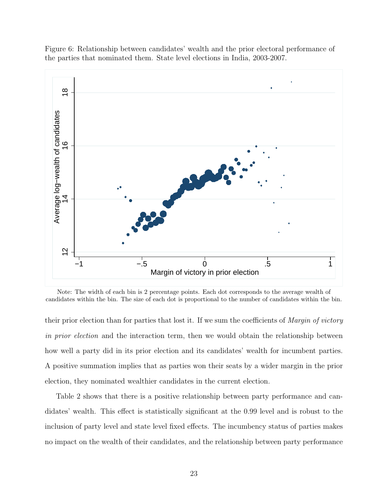Figure 6: Relationship between candidates' wealth and the prior electoral performance of the parties that nominated them. State level elections in India, 2003-2007.



Note: The width of each bin is 2 percentage points. Each dot corresponds to the average wealth of candidates within the bin. The size of each dot is proportional to the number of candidates within the bin.

their prior election than for parties that lost it. If we sum the coefficients of Margin of victory in prior election and the interaction term, then we would obtain the relationship between how well a party did in its prior election and its candidates' wealth for incumbent parties. A positive summation implies that as parties won their seats by a wider margin in the prior election, they nominated wealthier candidates in the current election.

Table 2 shows that there is a positive relationship between party performance and candidates' wealth. This effect is statistically significant at the 0.99 level and is robust to the inclusion of party level and state level fixed effects. The incumbency status of parties makes no impact on the wealth of their candidates, and the relationship between party performance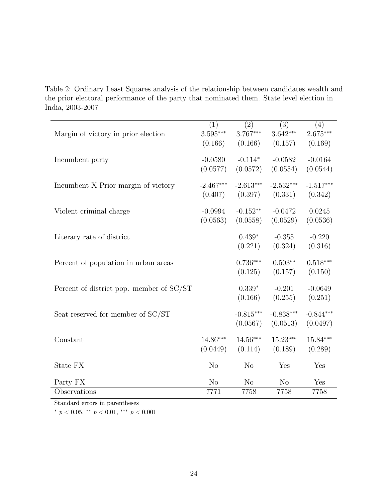Table 2: Ordinary Least Squares analysis of the relationship between candidates wealth and the prior electoral performance of the party that nominated them. State level election in India, 2003-2007

|                                          | $\left( 1\right)$ | $\left( 2\right)$ | (3)            | (4)         |
|------------------------------------------|-------------------|-------------------|----------------|-------------|
| Margin of victory in prior election      | $3.595***$        | $3.767***$        | $3.642***$     | $2.675***$  |
|                                          | (0.166)           | (0.166)           | (0.157)        | (0.169)     |
|                                          |                   |                   |                |             |
| Incumbent party                          | $-0.0580$         | $-0.114*$         | $-0.0582$      | $-0.0164$   |
|                                          | (0.0577)          | (0.0572)          | (0.0554)       | (0.0544)    |
|                                          |                   |                   |                |             |
| Incumbent X Prior margin of victory      | $-2.467***$       | $-2.613***$       | $-2.532***$    | $-1.517***$ |
|                                          | (0.407)           | (0.397)           | (0.331)        | (0.342)     |
|                                          |                   |                   |                |             |
| Violent criminal charge                  | $-0.0994$         | $-0.152**$        | $-0.0472$      | 0.0245      |
|                                          |                   |                   |                |             |
|                                          | (0.0563)          | (0.0558)          | (0.0529)       | (0.0536)    |
| Literary rate of district                |                   | $0.439*$          | $-0.355$       | $-0.220$    |
|                                          |                   |                   |                |             |
|                                          |                   | (0.221)           | (0.324)        | (0.316)     |
|                                          |                   | $0.736***$        | $0.503**$      | $0.518***$  |
| Percent of population in urban areas     |                   |                   |                |             |
|                                          |                   | (0.125)           | (0.157)        | (0.150)     |
|                                          |                   | $0.339*$          | $-0.201$       | $-0.0649$   |
| Percent of district pop. member of SC/ST |                   |                   |                |             |
|                                          |                   | (0.166)           | (0.255)        | (0.251)     |
|                                          |                   | $-0.815***$       | $-0.838***$    | $-0.844***$ |
| Seat reserved for member of SC/ST        |                   |                   |                |             |
|                                          |                   | (0.0567)          | (0.0513)       | (0.0497)    |
| Constant                                 | $14.86***$        | $14.56***$        | $15.23***$     | $15.84***$  |
|                                          |                   |                   |                |             |
|                                          | (0.0449)          | (0.114)           | (0.189)        | (0.289)     |
|                                          |                   |                   |                |             |
| State FX                                 | N <sub>o</sub>    | N <sub>o</sub>    | Yes            | Yes         |
| Party FX                                 | N <sub>o</sub>    | N <sub>o</sub>    | N <sub>o</sub> | Yes         |
| Observations                             | 7771              | 7758              | 7758           | 7758        |
|                                          |                   |                   |                |             |

Standard errors in parentheses

 $*$   $p$   $<$   $0.05,$   $^{**}$   $p$   $<$   $0.01,$   $^{***}$   $p$   $<$   $0.001$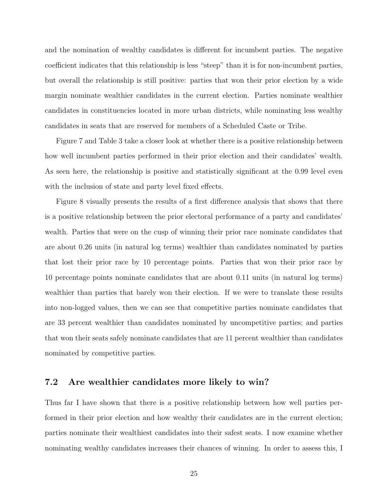and the nomination of wealthy candidates is different for incumbent parties. The negative coefficient indicates that this relationship is less "steep" than it is for non-incumbent parties, but overall the relationship is still positive: parties that won their prior election by a wide margin nominate wealthier candidates in the current election. Parties nominate wealthier candidates in constituencies located in more urban districts, while nominating less wealthy candidates in seats that are reserved for members of a Scheduled Caste or Tribe.

Figure 7 and Table 3 take a closer look at whether there is a positive relationship between how well incumbent parties performed in their prior election and their candidates' wealth. As seen here, the relationship is positive and statistically significant at the 0.99 level even with the inclusion of state and party level fixed effects.

Figure 8 visually presents the results of a first difference analysis that shows that there is a positive relationship between the prior electoral performance of a party and candidates' wealth. Parties that were on the cusp of winning their prior race nominate candidates that are about 0.26 units (in natural log terms) wealthier than candidates nominated by parties that lost their prior race by 10 percentage points. Parties that won their prior race by 10 percentage points nominate candidates that are about 0.11 units (in natural log terms) wealthier than parties that barely won their election. If we were to translate these results into non-logged values, then we can see that competitive parties nominate candidates that are 33 percent wealthier than candidates nominated by uncompetitive parties; and parties that won their seats safely nominate candidates that are 11 percent wealthier than candidates nominated by competitive parties.

#### 7.2 Are wealthier candidates more likely to win?

Thus far I have shown that there is a positive relationship between how well parties performed in their prior election and how wealthy their candidates are in the current election; parties nominate their wealthiest candidates into their safest seats. I now examine whether nominating wealthy candidates increases their chances of winning. In order to assess this, I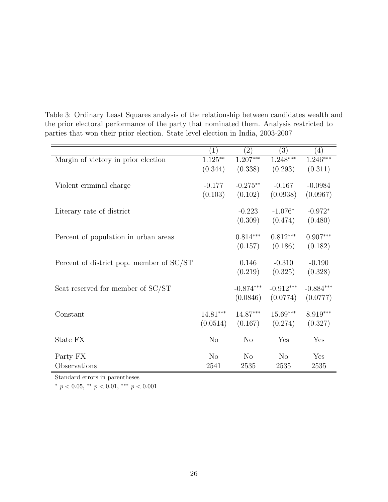|                                          | (1)            | $\left( 2\right)$ | $\overline{(3)}$ | (4)         |
|------------------------------------------|----------------|-------------------|------------------|-------------|
| Margin of victory in prior election      | $1.125***$     | $1.207***$        | $1.248***$       | 1.246***    |
|                                          | (0.344)        | (0.338)           | (0.293)          | (0.311)     |
|                                          |                |                   |                  |             |
| Violent criminal charge                  | $-0.177$       | $-0.275**$        | $-0.167$         | $-0.0984$   |
|                                          | (0.103)        | (0.102)           | (0.0938)         | (0.0967)    |
| Literary rate of district                |                | $-0.223$          | $-1.076*$        | $-0.972*$   |
|                                          |                | (0.309)           | (0.474)          | (0.480)     |
|                                          |                |                   |                  |             |
| Percent of population in urban areas     |                | $0.814***$        | $0.812***$       | $0.907***$  |
|                                          |                | (0.157)           | (0.186)          | (0.182)     |
|                                          |                |                   |                  |             |
| Percent of district pop. member of SC/ST |                | 0.146             | $-0.310$         | $-0.190$    |
|                                          |                | (0.219)           | (0.325)          | (0.328)     |
|                                          |                |                   |                  |             |
| Seat reserved for member of SC/ST        |                | $-0.874***$       | $-0.912***$      | $-0.884***$ |
|                                          |                | (0.0846)          | (0.0774)         | (0.0777)    |
| Constant                                 | $14.81***$     | 14.87***          | $15.69***$       | $8.919***$  |
|                                          | (0.0514)       | (0.167)           | (0.274)          | (0.327)     |
|                                          |                |                   |                  |             |
| State FX                                 | N <sub>o</sub> | N <sub>o</sub>    | Yes              | Yes         |
|                                          |                |                   |                  |             |
| Party FX                                 | N <sub>o</sub> | $\rm No$          | $\rm No$         | Yes         |
| Observations                             | 2541           | 2535              | 2535             | 2535        |

Table 3: Ordinary Least Squares analysis of the relationship between candidates wealth and the prior electoral performance of the party that nominated them. Analysis restricted to parties that won their prior election. State level election in India, 2003-2007

Standard errors in parentheses

\*  $p < 0.05$ , \*\*  $p < 0.01$ , \*\*\*  $p < 0.001$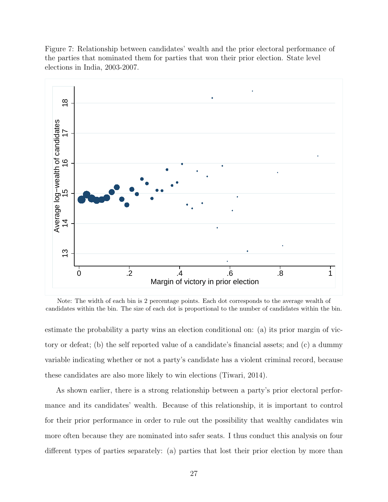

Figure 7: Relationship between candidates' wealth and the prior electoral performance of the parties that nominated them for parties that won their prior election. State level elections in India, 2003-2007.

Note: The width of each bin is 2 percentage points. Each dot corresponds to the average wealth of candidates within the bin. The size of each dot is proportional to the number of candidates within the bin.

estimate the probability a party wins an election conditional on: (a) its prior margin of victory or defeat; (b) the self reported value of a candidate's financial assets; and (c) a dummy variable indicating whether or not a party's candidate has a violent criminal record, because these candidates are also more likely to win elections (Tiwari, 2014).

As shown earlier, there is a strong relationship between a party's prior electoral performance and its candidates' wealth. Because of this relationship, it is important to control for their prior performance in order to rule out the possibility that wealthy candidates win more often because they are nominated into safer seats. I thus conduct this analysis on four different types of parties separately: (a) parties that lost their prior election by more than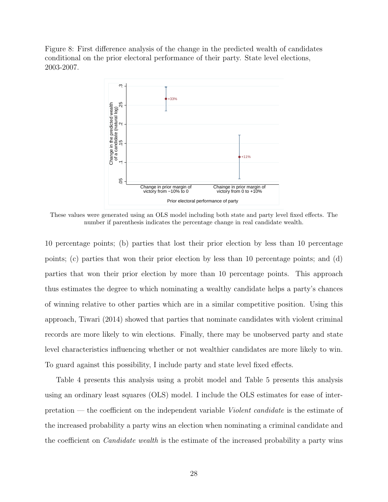Figure 8: First difference analysis of the change in the predicted wealth of candidates conditional on the prior electoral performance of their party. State level elections, 2003-2007.



These values were generated using an OLS model including both state and party level fixed effects. The number if parenthesis indicates the percentage change in real candidate wealth.

10 percentage points; (b) parties that lost their prior election by less than 10 percentage points; (c) parties that won their prior election by less than 10 percentage points; and (d) parties that won their prior election by more than 10 percentage points. This approach thus estimates the degree to which nominating a wealthy candidate helps a party's chances of winning relative to other parties which are in a similar competitive position. Using this approach, Tiwari (2014) showed that parties that nominate candidates with violent criminal records are more likely to win elections. Finally, there may be unobserved party and state level characteristics influencing whether or not wealthier candidates are more likely to win. To guard against this possibility, I include party and state level fixed effects.

Table 4 presents this analysis using a probit model and Table 5 presents this analysis using an ordinary least squares (OLS) model. I include the OLS estimates for ease of interpretation — the coefficient on the independent variable Violent candidate is the estimate of the increased probability a party wins an election when nominating a criminal candidate and the coefficient on *Candidate wealth* is the estimate of the increased probability a party wins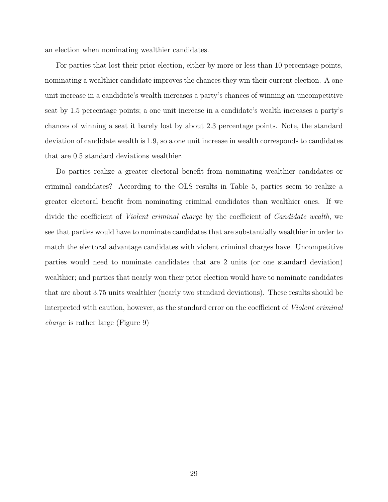an election when nominating wealthier candidates.

For parties that lost their prior election, either by more or less than 10 percentage points, nominating a wealthier candidate improves the chances they win their current election. A one unit increase in a candidate's wealth increases a party's chances of winning an uncompetitive seat by 1.5 percentage points; a one unit increase in a candidate's wealth increases a party's chances of winning a seat it barely lost by about 2.3 percentage points. Note, the standard deviation of candidate wealth is 1.9, so a one unit increase in wealth corresponds to candidates that are 0.5 standard deviations wealthier.

Do parties realize a greater electoral benefit from nominating wealthier candidates or criminal candidates? According to the OLS results in Table 5, parties seem to realize a greater electoral benefit from nominating criminal candidates than wealthier ones. If we divide the coefficient of *Violent criminal charge* by the coefficient of *Candidate wealth*, we see that parties would have to nominate candidates that are substantially wealthier in order to match the electoral advantage candidates with violent criminal charges have. Uncompetitive parties would need to nominate candidates that are 2 units (or one standard deviation) wealthier; and parties that nearly won their prior election would have to nominate candidates that are about 3.75 units wealthier (nearly two standard deviations). These results should be interpreted with caution, however, as the standard error on the coefficient of Violent criminal charge is rather large (Figure 9)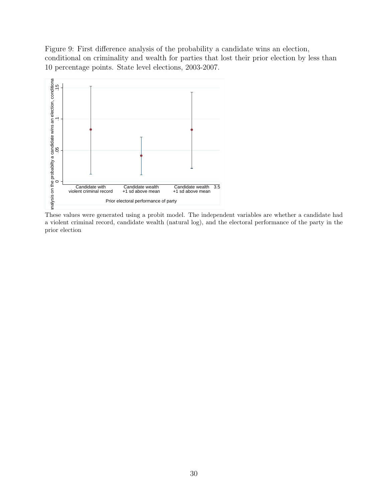Figure 9: First difference analysis of the probability a candidate wins an election, conditional on criminality and wealth for parties that lost their prior election by less than 10 percentage points. State level elections, 2003-2007.



These values were generated using a probit model. The independent variables are whether a candidate had a violent criminal record, candidate wealth (natural log), and the electoral performance of the party in the prior election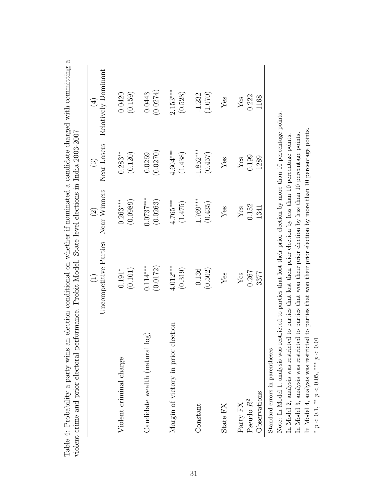|                                     | Uncompetitive Parties | Near Winners<br>$\widehat{\odot}$ | Near Losers<br>$\widehat{\mathbb{C}}$ | Relatively Dominant<br>$\bigoplus$ |
|-------------------------------------|-----------------------|-----------------------------------|---------------------------------------|------------------------------------|
| Violent criminal charge             | (0.101)               | $0.263***$                        | $0.283***$                            | 0.0420                             |
|                                     | $0.191*$              | (0.0989)                          | (0.120)                               | (0.159)                            |
| $\overline{\log}$                   | (0.0172)              | $0.0737***$                       | (0.0270)                              | (0.0274)                           |
| Candidate wealth (natural           | $0.114***$            | (0.0263)                          | 0.0269                                | 0.0443                             |
| Margin of victory in prior election | $4.012***$            | $4.765***$                        | $4.604***$                            | $2.153***$                         |
|                                     | (0.319)               | (1.475)                           | (1.438)                               | (0.528)                            |
| Constant                            | (0.502)               | $-1.769***$                       | $-1.852***$                           | (1.070)                            |
|                                     | $-0.136$              | (0.435)                           | (0.457)                               | $-1.232$                           |
| State FX                            | ${\rm Yes}$           | Yes                               | ${\rm Yes}$                           | Yes                                |
| Party FX                            | Yes                   | Yes                               | ${\rm Yes}$                           | Yes                                |
| Observations                        | 0.267                 | 0.152                             | 0.199                                 | 0.222                              |
| Pseudo $R^2$                        | 3377                  | 1341                              | 1289                                  | 1168                               |

Note: In Model 1, analysis was restricted to parties that lost their prior election by more than 10 percentage points. Note: In Model 1, analysis was restricted to parties that lost their prior election by more than 10 percentage points. In Model 4, analysis was restricted to parties that won their prior election by more than 10 percentage points. In Model 4, analysis was restricted to parties that won their prior election by more than 10 percentage points. In Model 3, analysis was restricted to parties that won their prior election by less than 10 percentage points. In Model 2, analysis was restricted to parties that lost their prior election by less than 10 percentage points. In Model 3, analysis was restricted to parties that won their prior election by less than 10 percentage points. In Model 2, analysis was restricted to parties that lost their prior election by less than 10 percentage points. \*  $p < 0.1$ , \*\*  $p < 0.05$ , \*\*\*  $p < 0.01$ \*  $p < 0.1$ , \*\*  $p < 0.05$ , \*\*\*  $p < 0.01$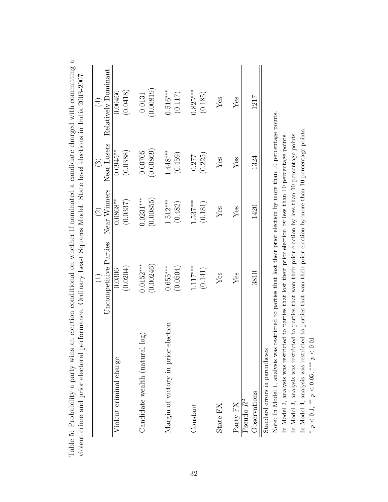|                                                                                                                                                          |                          | $\widehat{\odot}$        | $\widehat{\mathbb{C}}$  | $\bigoplus$           |
|----------------------------------------------------------------------------------------------------------------------------------------------------------|--------------------------|--------------------------|-------------------------|-----------------------|
|                                                                                                                                                          | Uncompetitive Parties    | Near Winners             | Near Losers             | Relatively Dominant   |
| Violent criminal charge                                                                                                                                  | (0.0204)<br>0.0306       | $0.0868**$<br>(0.0337)   | $0.0945***$<br>(0.0388) | 0.00466<br>(0.0418)   |
| log<br>Candidate wealth (natural                                                                                                                         | $0.0152***$<br>(0.00246) | $0.0231***$<br>(0.00855) | (0.00869)<br>0.00705    | (0.00819)<br>0.0131   |
| election<br>Margin of victory in prior                                                                                                                   | (0.0504)<br>$0.655***$   | $1.512***$<br>(0.482)    | $1.448***$<br>(0.459)   | $0.516***$<br>(0.117) |
| Constant                                                                                                                                                 | $1.117***$<br>(0.141)    | $.537***$<br>(0.181)     | (0.225)<br>0.277        | $0.825***$<br>(0.185) |
| State FX                                                                                                                                                 | Yes                      | Yes                      | Yes                     | $Y$ es                |
| Party FX                                                                                                                                                 | Yes                      | Yes                      | Yes                     | $Y$ es                |
| Observations<br>Pseudo R <sup>2</sup>                                                                                                                    | 3810                     | 1420                     | 1324                    | 1217                  |
| Note: In Model 1, analysis was restricted to parties that lost their prior election by more than 10 percentage points.<br>Standard errors in parentheses |                          |                          |                         |                       |

Table 5: Probability a party wins an election conditional on whether if nominated a candidate charged with committing a Table 5: Probability a party wins an election conditional on whether if nominated a candidate charged with committing a violent crime and prior electoral performance. Ordinary Least Squares Model. State level elections in India 2003-2007 violer

In Model 4, analysis was restricted to parties that won their prior election by more than 10 percentage points. In Model 4, analysis was restricted to parties that won their prior election by more than 10 percentage points. In Model 3, analysis was restricted to parties that won their prior election by less than 10 percentage points. In Model 2, analysis was restricted to parties that lost their prior election by less than 10 percentage points. In Model 3, analysis was restricted to parties that won their prior election by less than 10 percentage points. In Model 2, analysis was restricted to parties that lost their prior election by less than 10 percentage points. \*  $p < 0.1$ , \*\*  $p < 0.05$ , \*\*\*  $p < 0.01$ \*  $p < 0.1$ , \*\*  $p < 0.05$ , \*\*\*  $p < 0.01$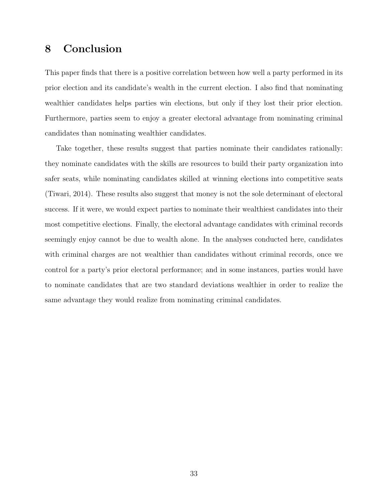## 8 Conclusion

This paper finds that there is a positive correlation between how well a party performed in its prior election and its candidate's wealth in the current election. I also find that nominating wealthier candidates helps parties win elections, but only if they lost their prior election. Furthermore, parties seem to enjoy a greater electoral advantage from nominating criminal candidates than nominating wealthier candidates.

Take together, these results suggest that parties nominate their candidates rationally: they nominate candidates with the skills are resources to build their party organization into safer seats, while nominating candidates skilled at winning elections into competitive seats (Tiwari, 2014). These results also suggest that money is not the sole determinant of electoral success. If it were, we would expect parties to nominate their wealthiest candidates into their most competitive elections. Finally, the electoral advantage candidates with criminal records seemingly enjoy cannot be due to wealth alone. In the analyses conducted here, candidates with criminal charges are not wealthier than candidates without criminal records, once we control for a party's prior electoral performance; and in some instances, parties would have to nominate candidates that are two standard deviations wealthier in order to realize the same advantage they would realize from nominating criminal candidates.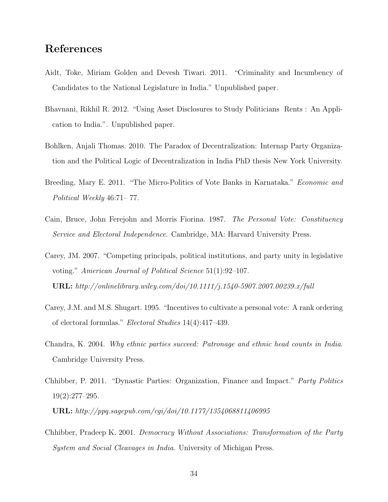# References

- Aidt, Toke, Miriam Golden and Devesh Tiwari. 2011. "Criminality and Incumbency of Candidates to the National Legislature in India." Unpublished paper.
- Bhavnani, Rikhil R. 2012. "Using Asset Disclosures to Study Politicians Rents : An Application to India.". Unpublished paper.
- Bohlken, Anjali Thomas. 2010. The Paradox of Decentralization: Internap Party Organization and the Political Logic of Decentralization in India PhD thesis New York University.
- Breeding, Mary E. 2011. "The Micro-Politics of Vote Banks in Karnataka." *Economic and* Political Weekly 46:71– 77.
- Cain, Bruce, John Ferejohn and Morris Fiorina. 1987. The Personal Vote: Constituency Service and Electoral Independence. Cambridge, MA: Harvard University Press.
- Carey, JM. 2007. "Competing principals, political institutions, and party unity in legislative voting." American Journal of Political Science 51(1):92–107. **URL:** http://onlinelibrary.wiley.com/doi/10.1111/j.1540-5907.2007.00239.x/full
- Carey, J.M. and M.S. Shugart. 1995. "Incentives to cultivate a personal vote: A rank ordering of electoral formulas." Electoral Studies 14(4):417–439.
- Chandra, K. 2004. Why ethnic parties succeed: Patronage and ethnic head counts in India. Cambridge University Press.
- Chhibber, P. 2011. "Dynastic Parties: Organization, Finance and Impact." Party Politics 19(2):277–295.

URL: http://ppq.sagepub.com/cgi/doi/10.1177/1354068811406995

Chhibber, Pradeep K. 2001. Democracy Without Associations: Transformation of the Party System and Social Cleavages in India. University of Michigan Press.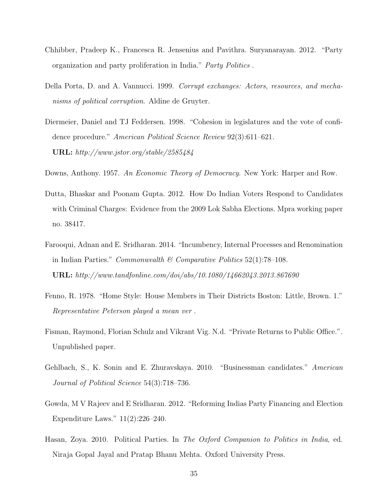- Chhibber, Pradeep K., Francesca R. Jensenius and Pavithra. Suryanarayan. 2012. "Party organization and party proliferation in India." Party Politics .
- Della Porta, D. and A. Vannucci. 1999. Corrupt exchanges: Actors, resources, and mechanisms of political corruption. Aldine de Gruyter.
- Diermeier, Daniel and TJ Feddersen. 1998. "Cohesion in legislatures and the vote of confidence procedure." American Political Science Review 92(3):611–621. URL: http://www.jstor.org/stable/2585484
- Downs, Anthony. 1957. An Economic Theory of Democracy. New York: Harper and Row.
- Dutta, Bhaskar and Poonam Gupta. 2012. How Do Indian Voters Respond to Candidates with Criminal Charges: Evidence from the 2009 Lok Sabha Elections. Mpra working paper no. 38417.
- Farooqui, Adnan and E. Sridharan. 2014. "Incumbency, Internal Processes and Renomination in Indian Parties." *Commonwealth & Comparative Politics*  $52(1)$ :78–108. URL: http://www.tandfonline.com/doi/abs/10.1080/14662043.2013.867690
- Fenno, R. 1978. "Home Style: House Members in Their Districts Boston: Little, Brown. 1." Representative Peterson played a mean ver .
- Fisman, Raymond, Florian Schulz and Vikrant Vig. N.d. "Private Returns to Public Office.". Unpublished paper.
- Gehlbach, S., K. Sonin and E. Zhuravskaya. 2010. "Businessman candidates." American Journal of Political Science 54(3):718–736.
- Gowda, M V Rajeev and E Sridharan. 2012. "Reforming Indias Party Financing and Election Expenditure Laws." 11(2):226–240.
- Hasan, Zoya. 2010. Political Parties. In The Oxford Companion to Politics in India, ed. Niraja Gopal Jayal and Pratap Bhanu Mehta. Oxford University Press.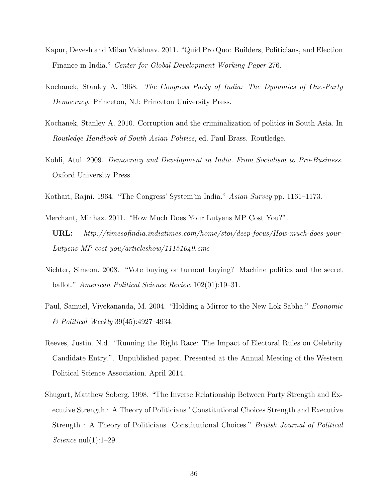- Kapur, Devesh and Milan Vaishnav. 2011. "Quid Pro Quo: Builders, Politicians, and Election Finance in India." Center for Global Development Working Paper 276.
- Kochanek, Stanley A. 1968. The Congress Party of India: The Dynamics of One-Party Democracy. Princeton, NJ: Princeton University Press.
- Kochanek, Stanley A. 2010. Corruption and the criminalization of politics in South Asia. In Routledge Handbook of South Asian Politics, ed. Paul Brass. Routledge.
- Kohli, Atul. 2009. Democracy and Development in India. From Socialism to Pro-Business. Oxford University Press.
- Kothari, Rajni. 1964. "The Congress' System'in India." Asian Survey pp. 1161–1173.
- Merchant, Minhaz. 2011. "How Much Does Your Lutyens MP Cost You?". URL: http://timesofindia.indiatimes.com/home/stoi/deep-focus/How-much-does-your-Lutyens-MP-cost-you/articleshow/11151049.cms
- Nichter, Simeon. 2008. "Vote buying or turnout buying? Machine politics and the secret ballot." American Political Science Review 102(01):19–31.
- Paul, Samuel, Vivekananda, M. 2004. "Holding a Mirror to the New Lok Sabha." *Economic* & Political Weekly 39(45):4927–4934.
- Reeves, Justin. N.d. "Running the Right Race: The Impact of Electoral Rules on Celebrity Candidate Entry.". Unpublished paper. Presented at the Annual Meeting of the Western Political Science Association. April 2014.
- Shugart, Matthew Soberg. 1998. "The Inverse Relationship Between Party Strength and Executive Strength : A Theory of Politicians ' Constitutional Choices Strength and Executive Strength : A Theory of Politicians Constitutional Choices." British Journal of Political Science  $null(1):1-29$ .